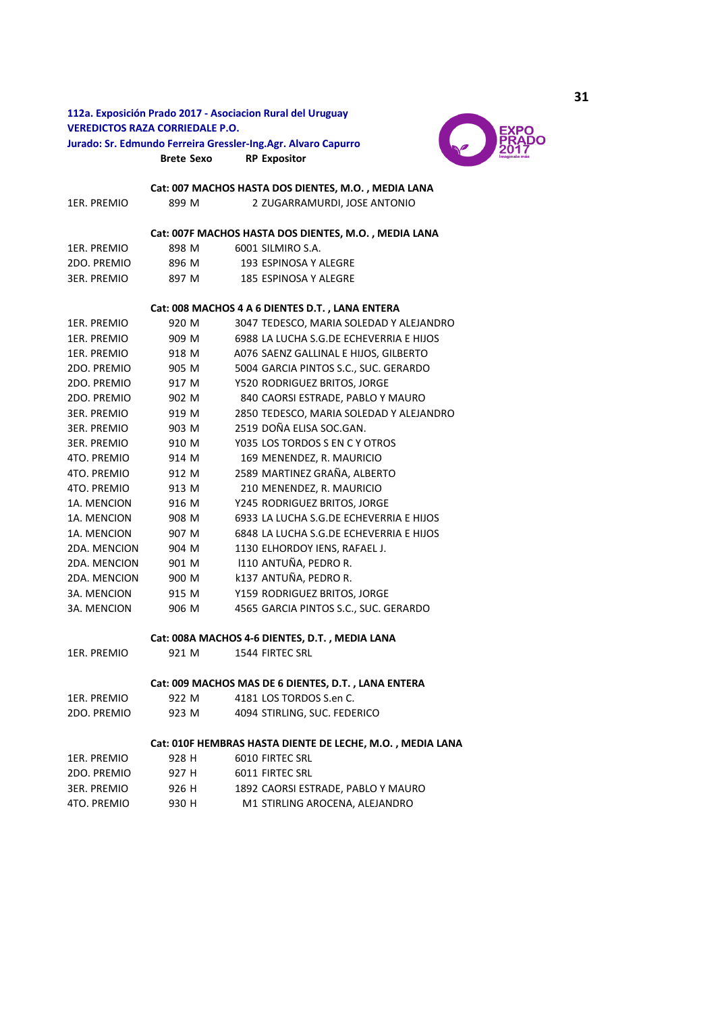# **112a. Exposición Prado 2017 - Asociacion Rural del Uruguay VEREDICTOS RAZA CORRIEDALE P.O. Jurado: Sr. Edmundo Ferreira Gressler-Ing.Agr. Alvaro Capurro**



**Brete Sexo RP Expositor**

1ER. PREMIO 899 M 2 ZUGARRAMURDI, JOSE ANTONIO 1ER. PREMIO 898 M 6001 SILMIRO S.A. **Cat: 007 MACHOS HASTA DOS DIENTES, M.O. , MEDIA LANA Cat: 007F MACHOS HASTA DOS DIENTES, M.O. , MEDIA LANA** 

| 2DO. PREMIO | 896 M | 193 ESPINOSA Y ALEGRE |
|-------------|-------|-----------------------|
| 3ER. PREMIO | 897 M | 185 ESPINOSA Y ALEGRE |

# **Cat: 008 MACHOS 4 A 6 DIENTES D.T. , LANA ENTERA**

| 1FR. PRFMIO        | 920 M | 3047 TEDESCO, MARIA SOLEDAD Y ALEJANDRO |
|--------------------|-------|-----------------------------------------|
| 1ER. PREMIO        | 909 M | 6988 LA LUCHA S.G.DE ECHEVERRIA E HIJOS |
| 1ER. PREMIO        | 918 M | A076 SAENZ GALLINAL E HIJOS, GILBERTO   |
| 2DO. PREMIO        | 905 M | 5004 GARCIA PINTOS S.C., SUC. GERARDO   |
| 2DO. PREMIO        | 917 M | Y520 RODRIGUEZ BRITOS, JORGE            |
| 2DO. PREMIO        | 902 M | 840 CAORSI ESTRADE, PABLO Y MAURO       |
| <b>3ER. PREMIO</b> | 919 M | 2850 TEDESCO, MARIA SOLEDAD Y ALEJANDRO |
| <b>3ER. PREMIO</b> | 903 M | 2519 DOÑA ELISA SOC.GAN.                |
| <b>3ER. PREMIO</b> | 910 M | Y035 LOS TORDOS S EN C Y OTROS          |
| 4TO. PREMIO        | 914 M | 169 MENENDEZ, R. MAURICIO               |
| 4TO. PREMIO        | 912 M | 2589 MARTINEZ GRAÑA, ALBERTO            |
| 4TO. PREMIO        | 913 M | 210 MENENDEZ, R. MAURICIO               |
| 1A. MENCION        | 916 M | Y245 RODRIGUEZ BRITOS, JORGE            |
| 1A. MENCION        | 908 M | 6933 LA LUCHA S.G.DE ECHEVERRIA E HIJOS |
| 1A. MENCION        | 907 M | 6848 LA LUCHA S.G.DE ECHEVERRIA E HIJOS |
| 2DA. MENCION       | 904 M | 1130 ELHORDOY IENS, RAFAEL J.           |
| 2DA, MENCION       | 901 M | 1110 ANTUÑA, PEDRO R.                   |
| 2DA, MENCION       | 900 M | k137 ANTUÑA, PEDRO R.                   |
| 3A. MENCION        | 915 M | Y159 RODRIGUEZ BRITOS, JORGE            |
| 3A. MENCION        | 906 M | 4565 GARCIA PINTOS S.C., SUC. GERARDO   |

# **Cat: 008A MACHOS 4-6 DIENTES, D.T. , MEDIA LANA**

1ER. PREMIO 921 M 1544 FIRTEC SRL

## **Cat: 009 MACHOS MAS DE 6 DIENTES, D.T. , LANA ENTERA**

| 1ER. PREMIO | 922 M | 4181 LOS TORDOS S.en C.      |
|-------------|-------|------------------------------|
| 2DO. PREMIO | 923 M | 4094 STIRLING, SUC. FEDERICO |

# **Cat: 010F HEMBRAS HASTA DIENTE DE LECHE, M.O. , MEDIA LANA**

| 1ER. PREMIO | 928 H | 6010 FIRTEC SRL                    |
|-------------|-------|------------------------------------|
| 2DO. PREMIO | 927 H | 6011 FIRTEC SRL                    |
| 3ER. PREMIO | 926 H | 1892 CAORSI ESTRADE. PABLO Y MAURO |
| 4TO. PREMIO | 930 H | M1 STIRLING AROCENA. ALEJANDRO     |
|             |       |                                    |